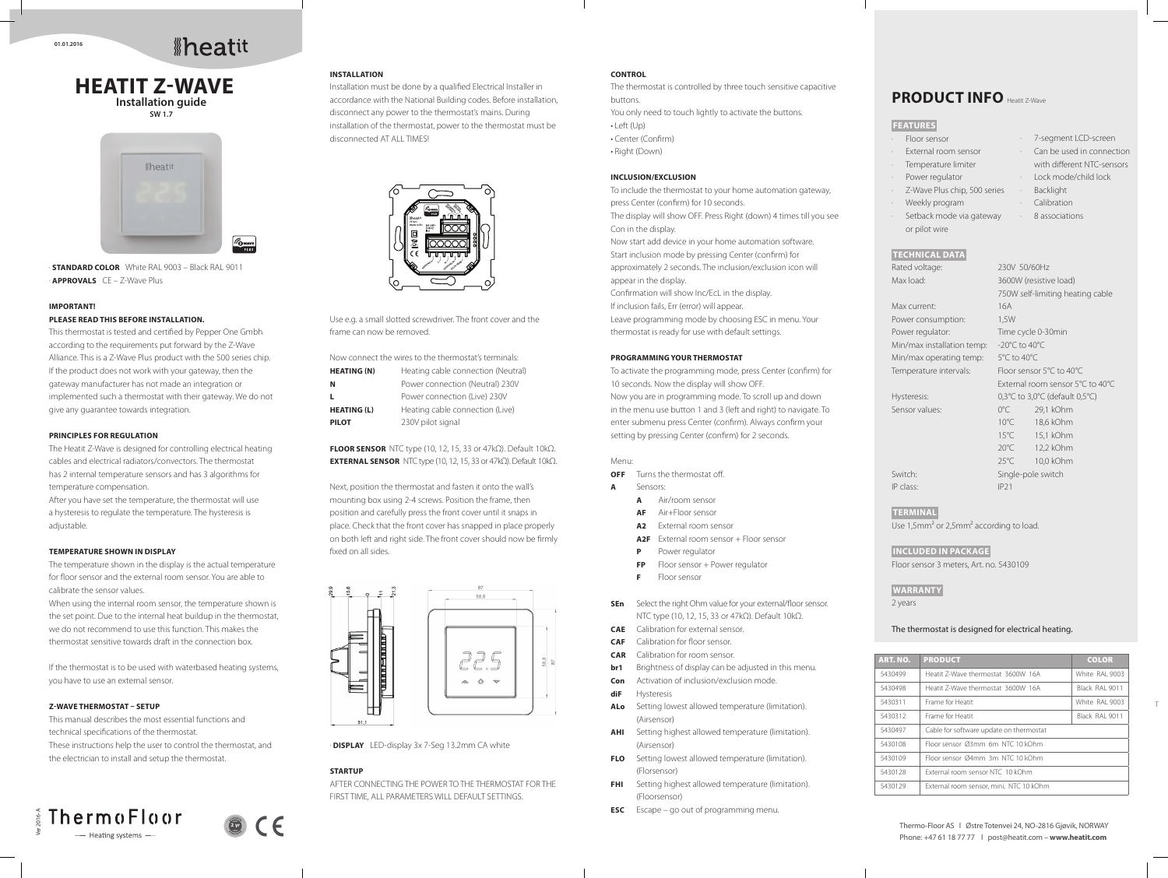· **STANDARD COLOR** White RAL 9003 – Black RAL 9011 · **APPROVALS** CE – Z-Wave Plus

#### **IMPORTANT!**

#### **PLEASE READ THIS BEFORE INSTALLATION.**

This thermostat is tested and certified by Pepper One Gmbh according to the requirements put forward by the Z-Wave Alliance. This is a Z-Wave Plus product with the 500 series chip. If the product does not work with your gateway, then the gateway manufacturer has not made an integration or implemented such a thermostat with their gateway. We do not give any guarantee towards integration.

#### **PRINCIPLES FOR REGULATION**

The Heatit Z-Wave is designed for controlling electrical heating cables and electrical radiators/convectors. The thermostat has 2 internal temperature sensors and has 3 algorithms for temperature compensation.

After you have set the temperature, the thermostat will use a hysteresis to regulate the temperature. The hysteresis is adjustable.

#### **TEMPERATURE SHOWN IN DISPLAY**

The temperature shown in the display is the actual temperature for floor sensor and the external room sensor. You are able to calibrate the sensor values.

When using the internal room sensor, the temperature shown is the set point. Due to the internal heat buildup in the thermostat, we do not recommend to use this function. This makes the thermostat sensitive towards draft in the connection box.

Next, position the thermostat and fasten it onto the wall's mounting box using 2-4 screws. Position the frame, then position and carefully press the front cover until it snaps in place. Check that the front cover has snapped in place properly on both left and right side. The front cover should now be firmly fixed on all sides.



If the thermostat is to be used with waterbased heating systems, you have to use an external sensor.

## **Z-WAVE THERMOSTAT – SETUP**

This manual describes the most essential functions and technical specifications of the thermostat. These instructions help the user to control the thermostat, and the electrician to install and setup the thermostat.

#### ThermoFloor Ver 2016-A **2 yr** - Heating systems -

#### **INSTALLATION**

Installation must be done by a qualified Electrical Installer in accordance with the National Building codes. Before installation, disconnect any power to the thermostat's mains. During installation of the thermostat, power to the thermostat must be disconnected AT ALL TIMES!

Use e.g. a small slotted screwdriver. The front cover and the frame can now be removed.

| Now connect the wires to the thermostat's terminals: |                                    |  |
|------------------------------------------------------|------------------------------------|--|
| <b>HEATING (N)</b>                                   | Heating cable connection (Neutral) |  |
| N                                                    | Power connection (Neutral) 230V    |  |
|                                                      | Power connection (Live) 230V       |  |
| <b>HEATING (L)</b>                                   | Heating cable connection (Live)    |  |
| <b>PILOT</b>                                         | 230V pilot signal                  |  |

**FLOOR SENSOR** NTC type (10, 12, 15, 33 or 47kΩ). Default 10kΩ. **EXTERNAL SENSOR** NTC type (10, 12, 15, 33 or 47kΩ). Default 10kΩ.

· **DISPLAY** LED-display 3x 7-Seg 13.2mm CA white

#### **STARTUP**

AFTER CONNECTING THE POWER TO THE THERMOSTAT FOR THE FIRST TIME, ALL PARAMETERS WILL DEFAULT SETTINGS.

# *<u>Aheatit</u>*







### **TECHNICAL DATA**

| Rated voltage:             | 230V 50/60Hz                      |                                                                |
|----------------------------|-----------------------------------|----------------------------------------------------------------|
| Max load:                  | 3600W (resistive load)            |                                                                |
|                            |                                   | 750W self-limiting heating cable                               |
| Max current:               | 16A                               |                                                                |
| Power consumption:         | 1,5W                              |                                                                |
| Power regulator:           |                                   | Time cycle 0-30min                                             |
| Min/max installation temp: | $-20^{\circ}$ C to $40^{\circ}$ C |                                                                |
| Min/max operating temp:    | 5°C to 40°C                       |                                                                |
| Temperature intervals:     | Floor sensor 5°C to 40°C          |                                                                |
|                            |                                   | External room sensor 5°C to 40°C                               |
| Hysteresis:                |                                   | $0,3^{\circ}$ C to 3,0 $^{\circ}$ C (default 0,5 $^{\circ}$ C) |
| Sensor values:             | $0^{\circ}$ C                     | 29,1 kOhm                                                      |
|                            | $10^{\circ}$ C                    | 18,6 kOhm                                                      |
|                            | $15^{\circ}$ C                    | 15,1 kOhm                                                      |
|                            | $20^{\circ}$ C                    | 12,2 kOhm                                                      |
|                            | $25^{\circ}$ C                    | 10,0 kOhm                                                      |
| Switch:                    | Single-pole switch                |                                                                |
| IP class:                  | <b>IP21</b>                       |                                                                |
|                            |                                   |                                                                |

## **TERMINAL**

Use 1,5mm² or 2,5mm² according to load.

## **INCLUDED IN PACKAGE**

Floor sensor 3 meters, Art. no. 5430109

## **WARRANTY**

2 years

#### The thermostat is designed for electrical heating.

## **FEATURES**

· Floor sensor External room sensor · Temperature limiter Power regulator Z-Wave Plus chip, 500 series · Weekly program Setback mode via gateway or pilot wire · 7-segment LCD-screen Can be used in connection with different NTC-sensors · Lock mode/child lock **Backlight Calibration** · 8 associations

| <b>ART. NO.</b>                             | <b>PRODUCT</b>                          | <b>COLOR</b>   |
|---------------------------------------------|-----------------------------------------|----------------|
| 5430499                                     | Heatit 7-Wave thermostat 3600W 16A      | White RAI 9003 |
| 5430498                                     | Heatit 7-Wave thermostat 3600W 16A      | Black RAI 9011 |
| 5430311                                     | Frame for Heatit                        | White RAI 9003 |
| 5430312                                     | Frame for Heatit                        | Black RAI 9011 |
| 5430497                                     | Cable for software update on thermostat |                |
| 5430108                                     | Floor sensor Ø3mm 6m NTC 10 kOhm        |                |
| Floor sensor Ø4mm 3m NTC 10 kOhm<br>5430109 |                                         |                |
| 5430128                                     | External room sensor NTC 10 kOhm        |                |
| 5430129                                     | External room sensor, mini, NTC 10 kOhm |                |

### **CONTROL**

The thermostat is controlled by three touch sensitive capacitive buttons. You only need to touch lightly to activate the buttons. • Left (Up) • Center (Confirm) • Right (Down)

## **INCLUSION/EXCLUSION**

To include the thermostat to your home automation gateway, press Center (confirm) for 10 seconds. The display will show OFF. Press Right (down) 4 times till you see Con in the display. Now start add device in your home automation software. Start inclusion mode by pressing Center (confirm) for approximately 2 seconds. The inclusion/exclusion icon will appear in the display. Confirmation will show Inc/EcL in the display. If inclusion fails, Err (error) will appear. Leave programming mode by choosing ESC in menu. Your thermostat is ready for use with default settings. **PROGRAMMING YOUR THERMOSTAT**

To activate the programming mode, press Center (confirm) for 10 seconds. Now the display will show OFF. Now you are in programming mode. To scroll up and down in the menu use button 1 and 3 (left and right) to navigate. To enter submenu press Center (confirm). Always confirm your setting by pressing Center (confirm) for 2 seconds.

#### Menu:

**OFF** Turns the thermostat off.

- **A** Sensors:
	- **A** Air/room sensor
	- **AF** Air+Floor sensor
	- **A2** External room sensor
	- A2F External room sensor + Floor sensor
	- **P** Power regulator
	- **FP** Floor sensor + Power regulator
	- **F** Floor sensor
- **SEn** Select the right Ohm value for your external/floor sensor. NTC type (10, 12, 15, 33 or 47kΩ). Default 10kΩ.
- **CAE** Calibration for external sensor.
- **CAF** Calibration for floor sensor.
- **CAR** Calibration for room sensor.
- **br1** Brightness of display can be adjusted in this menu.
- **Con** Activation of inclusion/exclusion mode.
- **diF** Hysteresis
- **ALo** Setting lowest allowed temperature (limitation). (Airsensor)
- **AHI** Setting highest allowed temperature (limitation). (Airsensor)
- **FLO** Setting lowest allowed temperature (limitation). (Florsensor)
- **FHI** Setting highest allowed temperature (limitation). (Floorsensor)
- **ESC** Escape go out of programming menu.

# **PRODUCT INFO Heatit Z-Wave**

Thermo-Floor AS l Østre Totenvei 24, NO-2816 Gjøvik, NORWAY Phone: +47 61 18 77 77 l post@heatit.com – **www.heatit.com**

**01.01.2016**